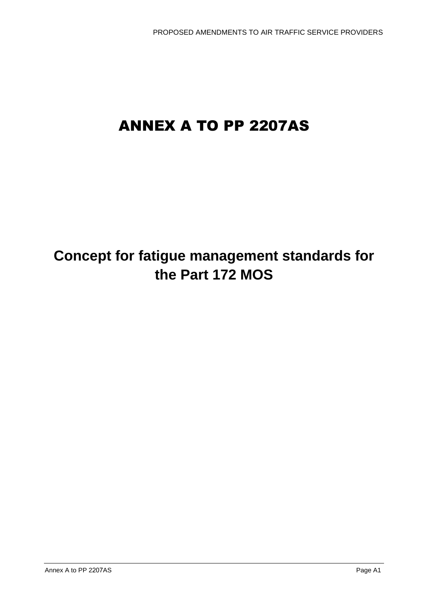# ANNEX A TO PP 2207AS

## **Concept for fatigue management standards for the Part 172 MOS**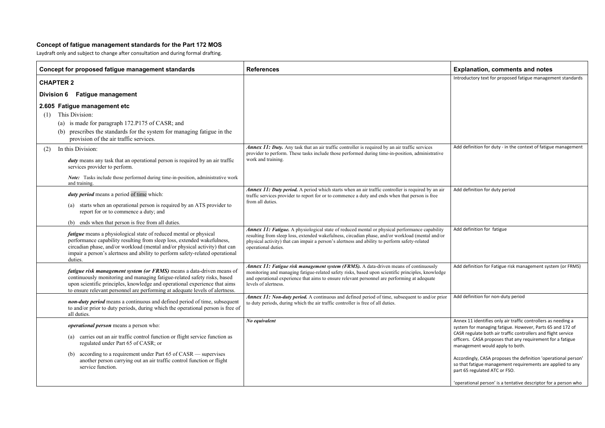#### **Concept of fatigue management standards for the Part 172 MOS**

Laydraft only and subject to change after consultation and during formal drafting.

*No equivalent* Annex 11 identifies only air traffic controllers as needing a system for managing fatigue. However, Parts 65 and 172 of ASR regulate both air traffic controllers and flight service fficers. CASA proposes that any requirement for a fatigue anagement would apply to both.

ccordingly, CASA proposes the definition 'operational person' that fatigue management requirements are applied to any art 65 regulated ATC or FSO.

pperational person' is a tentative descriptor for a person who

| Concept for proposed fatigue management standards                                                                                                                                                                                                                                                                              | <b>References</b>                                                                                                                                                                                                                                                                                                                | E)             |
|--------------------------------------------------------------------------------------------------------------------------------------------------------------------------------------------------------------------------------------------------------------------------------------------------------------------------------|----------------------------------------------------------------------------------------------------------------------------------------------------------------------------------------------------------------------------------------------------------------------------------------------------------------------------------|----------------|
| <b>CHAPTER 2</b>                                                                                                                                                                                                                                                                                                               |                                                                                                                                                                                                                                                                                                                                  | Int            |
| <b>Fatigue management</b><br><b>Division 6</b>                                                                                                                                                                                                                                                                                 |                                                                                                                                                                                                                                                                                                                                  |                |
|                                                                                                                                                                                                                                                                                                                                |                                                                                                                                                                                                                                                                                                                                  |                |
| 2.605 Fatigue management etc<br>This Division:                                                                                                                                                                                                                                                                                 |                                                                                                                                                                                                                                                                                                                                  |                |
| (1)                                                                                                                                                                                                                                                                                                                            |                                                                                                                                                                                                                                                                                                                                  |                |
| is made for paragraph 172.P175 of CASR; and<br>(a)                                                                                                                                                                                                                                                                             |                                                                                                                                                                                                                                                                                                                                  |                |
| prescribes the standards for the system for managing fatigue in the<br>(b)<br>provision of the air traffic services.                                                                                                                                                                                                           |                                                                                                                                                                                                                                                                                                                                  |                |
| In this Division:<br>(2)                                                                                                                                                                                                                                                                                                       | Annex 11: Duty. Any task that an air traffic controller is required by an air traffic services<br>provider to perform. These tasks include those performed during time-in-position, administrative                                                                                                                               | Ac             |
| duty means any task that an operational person is required by an air traffic<br>services provider to perform.                                                                                                                                                                                                                  | work and training.                                                                                                                                                                                                                                                                                                               |                |
| Note: Tasks include those performed during time-in-position, administrative work<br>and training.                                                                                                                                                                                                                              |                                                                                                                                                                                                                                                                                                                                  |                |
| duty period means a period of time which:                                                                                                                                                                                                                                                                                      | <b>Annex 11: Duty period.</b> A period which starts when an air traffic controller is required by an air<br>traffic services provider to report for or to commence a duty and ends when that person is free                                                                                                                      | Ac             |
| starts when an operational person is required by an ATS provider to<br>(a)<br>report for or to commence a duty; and                                                                                                                                                                                                            | from all duties.                                                                                                                                                                                                                                                                                                                 |                |
| ends when that person is free from all duties.<br>(b)                                                                                                                                                                                                                                                                          |                                                                                                                                                                                                                                                                                                                                  |                |
| <i>fatigue</i> means a physiological state of reduced mental or physical<br>performance capability resulting from sleep loss, extended wakefulness,<br>circadian phase, and/or workload (mental and/or physical activity) that can<br>impair a person's alertness and ability to perform safety-related operational<br>duties. | <b>Annex 11: Fatigue.</b> A physiological state of reduced mental or physical performance capability<br>resulting from sleep loss, extended wakefulness, circadian phase, and/or workload (mental and/or<br>physical activity) that can impair a person's alertness and ability to perform safety-related<br>operational duties. | Ac             |
| <i>fatigue risk management system (or FRMS)</i> means a data-driven means of<br>continuously monitoring and managing fatigue-related safety risks, based<br>upon scientific principles, knowledge and operational experience that aims<br>to ensure relevant personnel are performing at adequate levels of alertness.         | <b>Annex 11: Fatigue risk management system (FRMS).</b> A data-driven means of continuously<br>monitoring and managing fatigue-related safety risks, based upon scientific principles, knowledge<br>and operational experience that aims to ensure relevant personnel are performing at adequate<br>levels of alertness.         | Ac             |
| non-duty period means a continuous and defined period of time, subsequent<br>to and/or prior to duty periods, during which the operational person is free of<br>all duties.                                                                                                                                                    | <b>Annex 11: Non-duty period.</b> A continuous and defined period of time, subsequent to and/or prior<br>to duty periods, during which the air traffic controller is free of all duties.                                                                                                                                         | Ac             |
| operational person means a person who:                                                                                                                                                                                                                                                                                         | No equivalent                                                                                                                                                                                                                                                                                                                    | Ar<br>sy       |
| carries out an air traffic control function or flight service function as<br>$\left( a\right)$<br>regulated under Part 65 of CASR; or                                                                                                                                                                                          |                                                                                                                                                                                                                                                                                                                                  | CA<br>of<br>m  |
| according to a requirement under Part 65 of CASR — supervises<br>(b)<br>another person carrying out an air traffic control function or flight<br>service function.                                                                                                                                                             |                                                                                                                                                                                                                                                                                                                                  | Ac<br>so<br>pa |
|                                                                                                                                                                                                                                                                                                                                |                                                                                                                                                                                                                                                                                                                                  | $^{\prime}$ o  |

#### **Concept Formally Explanation, comments and notes**

Introductory text for proposed fatigue management standards

dd definition for duty - in the context of fatigue management

dd definition for duty period

dd definition for fatigue

dd definition for Fatigue risk management system (or FRMS)

dd definition for non-duty period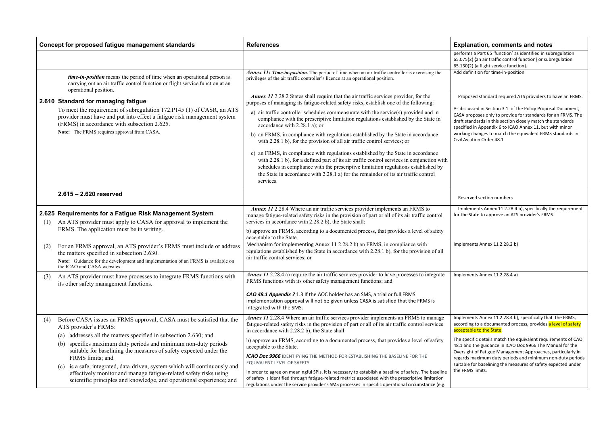Implements Annex 11 2.28.4 b), specifically the requirement or the State to approve an ATS provider's FRMS.

nplements Annex 11 2.28.2 b)

nplements Annex 11 2.28.4 a)

mplements Annex 11 2.28.4 b), specifically that the FRMS, ccording to a documented process, provides <mark>a level of safety</mark> cceptable to the State.

he specific details match the equivalent requirements of CAO 8.1 and the guidance in ICAO Doc 9966 The Manual for the versight of Fatigue Management Approaches, particularly in egards maximum duty periods and minimum non-duty periods uitable for baselining the measures of safety expected under ne FRMS limits.

Proposed standard required ATS providers to have an FRMS.

discussed in Section 3.1 of the Policy Proposal Document, ASA proposes only to provide for standards for an FRMS. The raft standards in this section closely match the standards specified in Appendix 6 to ICAO Annex 11, but with minor working changes to match the equivalent FRMS standards in ivil Aviation Order 48.1

|     | Concept for proposed fatigue management standards                                                                                                                                                                                                                                                                                                                                                                                                                                                                                                                              | <b>References</b>                                                                                                                                                                                                                                                                                                                                                                                                                                                                                                                                                                                                                                                                                                                                                                                                                                                                                                                              | <b>Explanation, comme</b>                                                                                                                                                                                                                                              |
|-----|--------------------------------------------------------------------------------------------------------------------------------------------------------------------------------------------------------------------------------------------------------------------------------------------------------------------------------------------------------------------------------------------------------------------------------------------------------------------------------------------------------------------------------------------------------------------------------|------------------------------------------------------------------------------------------------------------------------------------------------------------------------------------------------------------------------------------------------------------------------------------------------------------------------------------------------------------------------------------------------------------------------------------------------------------------------------------------------------------------------------------------------------------------------------------------------------------------------------------------------------------------------------------------------------------------------------------------------------------------------------------------------------------------------------------------------------------------------------------------------------------------------------------------------|------------------------------------------------------------------------------------------------------------------------------------------------------------------------------------------------------------------------------------------------------------------------|
|     |                                                                                                                                                                                                                                                                                                                                                                                                                                                                                                                                                                                |                                                                                                                                                                                                                                                                                                                                                                                                                                                                                                                                                                                                                                                                                                                                                                                                                                                                                                                                                | performs a Part 65 'function'<br>65.075(2) {an air traffic cont<br>65.130(2) {a flight service ful                                                                                                                                                                     |
|     | <i>time-in-position</i> means the period of time when an operational person is<br>carrying out an air traffic control function or flight service function at an<br>operational position.                                                                                                                                                                                                                                                                                                                                                                                       | <b>Annex 11: Time-in-position.</b> The period of time when an air traffic controller is exercising the<br>privileges of the air traffic controller's licence at an operational position.                                                                                                                                                                                                                                                                                                                                                                                                                                                                                                                                                                                                                                                                                                                                                       | Add definition for time-in-po                                                                                                                                                                                                                                          |
|     | 2.610 Standard for managing fatigue<br>To meet the requirement of subregulation 172.P145 (1) of CASR, an ATS<br>provider must have and put into effect a fatigue risk management system<br>(FRMS) in accordance with subsection 2.625.<br>Note: The FRMS requires approval from CASA.                                                                                                                                                                                                                                                                                          | Annex 11 2.28.2 States shall require that the air traffic services provider, for the<br>purposes of managing its fatigue-related safety risks, establish one of the following:<br>a) air traffic controller schedules commensurate with the service(s) provided and in<br>compliance with the prescriptive limitation regulations established by the State in<br>accordance with 2.28.1 a); or<br>b) an FRMS, in compliance with regulations established by the State in accordance<br>with 2.28.1 b), for the provision of all air traffic control services; or<br>c) an FRMS, in compliance with regulations established by the State in accordance<br>with 2.28.1 b), for a defined part of its air traffic control services in conjunction with<br>schedules in compliance with the prescriptive limitation regulations established by<br>the State in accordance with 2.28.1 a) for the remainder of its air traffic control<br>services. | Proposed standard require<br>As discussed in Section 3.1 o<br>CASA proposes only to provi<br>draft standards in this sectio<br>specified in Appendix 6 to IC<br>working changes to match th<br>Civil Aviation Order 48.1                                               |
|     | $2.615 - 2.620$ reserved                                                                                                                                                                                                                                                                                                                                                                                                                                                                                                                                                       |                                                                                                                                                                                                                                                                                                                                                                                                                                                                                                                                                                                                                                                                                                                                                                                                                                                                                                                                                | Reserved section numbers                                                                                                                                                                                                                                               |
| (1) | 2.625 Requirements for a Fatigue Risk Management System<br>An ATS provider must apply to CASA for approval to implement the<br>FRMS. The application must be in writing.                                                                                                                                                                                                                                                                                                                                                                                                       | Annex 11 2.28.4 Where an air traffic services provider implements an FRMS to<br>manage fatigue-related safety risks in the provision of part or all of its air traffic control<br>services in accordance with 2.28.2 b), the State shall:<br>b) approve an FRMS, according to a documented process, that provides a level of safety                                                                                                                                                                                                                                                                                                                                                                                                                                                                                                                                                                                                            | Implements Annex 11 2.28<br>for the State to approve an /                                                                                                                                                                                                              |
| (2) | For an FRMS approval, an ATS provider's FRMS must include or address<br>the matters specified in subsection 2.630.<br>Note: Guidance for the development and implementation of an FRMS is available on<br>the ICAO and CASA websites.                                                                                                                                                                                                                                                                                                                                          | acceptable to the State.<br>Mechanism for implementing Annex 11 2.28.2 b) an FRMS, in compliance with<br>regulations established by the State in accordance with 2.28.1 b), for the provision of all<br>air traffic control services; or                                                                                                                                                                                                                                                                                                                                                                                                                                                                                                                                                                                                                                                                                                       | Implements Annex 11 2.28.2                                                                                                                                                                                                                                             |
| (3) | An ATS provider must have processes to integrate FRMS functions with<br>its other safety management functions.                                                                                                                                                                                                                                                                                                                                                                                                                                                                 | Annex 11 2.28.4 a) require the air traffic services provider to have processes to integrate<br>FRMS functions with its other safety management functions; and<br>CAO 48.1 Appendix 7 1.3 If the AOC holder has an SMS, a trial or full FRMS<br>implementation approval will not be given unless CASA is satisfied that the FRMS is<br>integrated with the SMS.                                                                                                                                                                                                                                                                                                                                                                                                                                                                                                                                                                                 | Implements Annex 11 2.28.4                                                                                                                                                                                                                                             |
| (4) | Before CASA issues an FRMS approval, CASA must be satisfied that the<br>ATS provider's FRMS:<br>addresses all the matters specified in subsection 2.630; and<br>$\left( a\right)$<br>specifies maximum duty periods and minimum non-duty periods<br>(b)<br>suitable for baselining the measures of safety expected under the<br>FRMS limits; and<br>is a safe, integrated, data-driven, system which will continuously and<br>(c)<br>effectively monitor and manage fatigue-related safety risks using<br>scientific principles and knowledge, and operational experience; and | Annex 11 2.28.4 Where an air traffic services provider implements an FRMS to manage<br>fatigue-related safety risks in the provision of part or all of its air traffic control services<br>in accordance with 2.28.2 b), the State shall:<br>b) approve an FRMS, according to a documented process, that provides a level of safety<br>acceptable to the State.<br>ICAO Doc 9966 IDENTIFYING THE METHOD FOR ESTABLISHING THE BASELINE FOR THE<br>EQUIVALENT LEVEL OF SAFETY<br>In order to agree on meaningful SPIs, it is necessary to establish a baseline of safety. The baseline<br>of safety is identified through fatigue-related metrics associated with the prescriptive limitation<br>regulations under the service provider's SMS processes in specific operational circumstance (e.g.                                                                                                                                               | Implements Annex 11 2.28.4<br>according to a documented<br>acceptable to the State.<br>The specific details match th<br>48.1 and the guidance in ICA<br>Oversight of Fatigue Manage<br>regards maximum duty perio<br>suitable for baselining the m<br>the FRMS limits. |

#### **Concept Formally Explanation, comments and notes**

erforms a Part 65 'function' as identified in subregulation 65.075(2) {an air traffic control function} or subregulation 65.130(2) {a flight service function}. dd definition for time-in-position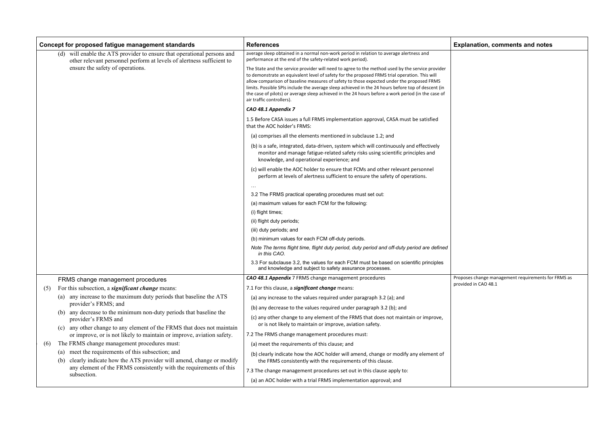Proposes change management requirements for FRMS as rovided in CAO 48.1

|     | Concept for proposed fatigue management standards                                                                                                   | <b>References</b>                                                                                                                                                                                                                                                                                                                                                                                                                                                                                                                       | Е  |
|-----|-----------------------------------------------------------------------------------------------------------------------------------------------------|-----------------------------------------------------------------------------------------------------------------------------------------------------------------------------------------------------------------------------------------------------------------------------------------------------------------------------------------------------------------------------------------------------------------------------------------------------------------------------------------------------------------------------------------|----|
|     | will enable the ATS provider to ensure that operational persons and<br>(d)<br>other relevant personnel perform at levels of alertness sufficient to | average sleep obtained in a normal non-work period in relation to average alertness and<br>performance at the end of the safety-related work period).                                                                                                                                                                                                                                                                                                                                                                                   |    |
|     | ensure the safety of operations.                                                                                                                    | The State and the service provider will need to agree to the method used by the service provider<br>to demonstrate an equivalent level of safety for the proposed FRMS trial operation. This will<br>allow comparison of baseline measures of safety to those expected under the proposed FRMS<br>limits. Possible SPIs include the average sleep achieved in the 24 hours before top of descent (in<br>the case of pilots) or average sleep achieved in the 24 hours before a work period (in the case of<br>air traffic controllers). |    |
|     |                                                                                                                                                     | CAO 48.1 Appendix 7                                                                                                                                                                                                                                                                                                                                                                                                                                                                                                                     |    |
|     |                                                                                                                                                     | 1.5 Before CASA issues a full FRMS implementation approval, CASA must be satisfied<br>that the AOC holder's FRMS:                                                                                                                                                                                                                                                                                                                                                                                                                       |    |
|     |                                                                                                                                                     | (a) comprises all the elements mentioned in subclause 1.2; and                                                                                                                                                                                                                                                                                                                                                                                                                                                                          |    |
|     |                                                                                                                                                     | (b) is a safe, integrated, data-driven, system which will continuously and effectively<br>monitor and manage fatigue-related safety risks using scientific principles and<br>knowledge, and operational experience; and                                                                                                                                                                                                                                                                                                                 |    |
|     |                                                                                                                                                     | (c) will enable the AOC holder to ensure that FCMs and other relevant personnel<br>perform at levels of alertness sufficient to ensure the safety of operations.                                                                                                                                                                                                                                                                                                                                                                        |    |
|     |                                                                                                                                                     |                                                                                                                                                                                                                                                                                                                                                                                                                                                                                                                                         |    |
|     |                                                                                                                                                     | 3.2 The FRMS practical operating procedures must set out:                                                                                                                                                                                                                                                                                                                                                                                                                                                                               |    |
|     |                                                                                                                                                     | (a) maximum values for each FCM for the following:                                                                                                                                                                                                                                                                                                                                                                                                                                                                                      |    |
|     |                                                                                                                                                     | (i) flight times;                                                                                                                                                                                                                                                                                                                                                                                                                                                                                                                       |    |
|     |                                                                                                                                                     | (ii) flight duty periods;                                                                                                                                                                                                                                                                                                                                                                                                                                                                                                               |    |
|     |                                                                                                                                                     | (iii) duty periods; and                                                                                                                                                                                                                                                                                                                                                                                                                                                                                                                 |    |
|     |                                                                                                                                                     | (b) minimum values for each FCM off-duty periods.                                                                                                                                                                                                                                                                                                                                                                                                                                                                                       |    |
|     |                                                                                                                                                     | Note The terms flight time, flight duty period, duty period and off-duty period are defined<br>in this CAO.                                                                                                                                                                                                                                                                                                                                                                                                                             |    |
|     |                                                                                                                                                     | 3.3 For subclause 3.2, the values for each FCM must be based on scientific principles<br>and knowledge and subject to safety assurance processes.                                                                                                                                                                                                                                                                                                                                                                                       |    |
|     | FRMS change management procedures                                                                                                                   | CAO 48.1 Appendix 7 FRMS change management procedures                                                                                                                                                                                                                                                                                                                                                                                                                                                                                   | Pr |
| (5) | For this subsection, a significant change means:                                                                                                    | 7.1 For this clause, a significant change means:                                                                                                                                                                                                                                                                                                                                                                                                                                                                                        | pr |
|     | any increase to the maximum duty periods that baseline the ATS<br>(a)<br>provider's FRMS; and                                                       | (a) any increase to the values required under paragraph 3.2 (a); and                                                                                                                                                                                                                                                                                                                                                                                                                                                                    |    |
|     | any decrease to the minimum non-duty periods that baseline the<br>(b)                                                                               | (b) any decrease to the values required under paragraph 3.2 (b); and                                                                                                                                                                                                                                                                                                                                                                                                                                                                    |    |
|     | provider's FRMS and<br>any other change to any element of the FRMS that does not maintain                                                           | (c) any other change to any element of the FRMS that does not maintain or improve,<br>or is not likely to maintain or improve, aviation safety.                                                                                                                                                                                                                                                                                                                                                                                         |    |
|     | (c)<br>or improve, or is not likely to maintain or improve, aviation safety.                                                                        | 7.2 The FRMS change management procedures must:                                                                                                                                                                                                                                                                                                                                                                                                                                                                                         |    |
| (6) | The FRMS change management procedures must:                                                                                                         | (a) meet the requirements of this clause; and                                                                                                                                                                                                                                                                                                                                                                                                                                                                                           |    |
|     | (a) meet the requirements of this subsection; and                                                                                                   | (b) clearly indicate how the AOC holder will amend, change or modify any element of                                                                                                                                                                                                                                                                                                                                                                                                                                                     |    |
|     | clearly indicate how the ATS provider will amend, change or modify<br>(b)                                                                           | the FRMS consistently with the requirements of this clause.                                                                                                                                                                                                                                                                                                                                                                                                                                                                             |    |
|     | any element of the FRMS consistently with the requirements of this                                                                                  | 7.3 The change management procedures set out in this clause apply to:                                                                                                                                                                                                                                                                                                                                                                                                                                                                   |    |
|     | subsection.                                                                                                                                         | (a) an AOC holder with a trial FRMS implementation approval; and                                                                                                                                                                                                                                                                                                                                                                                                                                                                        |    |

## **Explanation, comments and notes**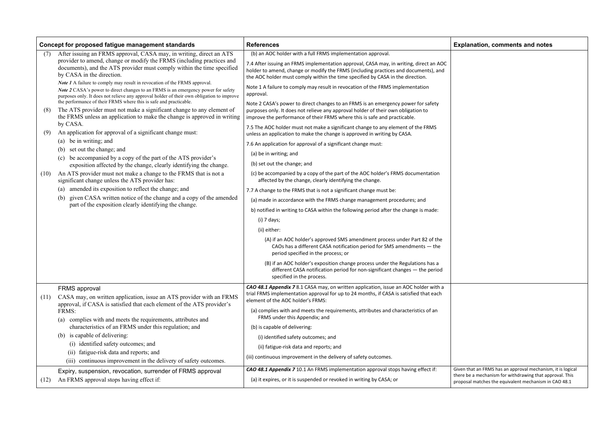|      | Concept for proposed fatigue management standards                                                                                                                                                                                                           | <b>References</b>                                                                                                                                                                                                                                               | Е       |
|------|-------------------------------------------------------------------------------------------------------------------------------------------------------------------------------------------------------------------------------------------------------------|-----------------------------------------------------------------------------------------------------------------------------------------------------------------------------------------------------------------------------------------------------------------|---------|
| (7)  | After issuing an FRMS approval, CASA may, in writing, direct an ATS                                                                                                                                                                                         | (b) an AOC holder with a full FRMS implementation approval.                                                                                                                                                                                                     |         |
|      | provider to amend, change or modify the FRMS (including practices and<br>documents), and the ATS provider must comply within the time specified<br>by CASA in the direction.                                                                                | 7.4 After issuing an FRMS implementation approval, CASA may, in writing, direct an AOC<br>holder to amend, change or modify the FRMS (including practices and documents), and<br>the AOC holder must comply within the time specified by CASA in the direction. |         |
|      | Note 1 A failure to comply may result in revocation of the FRMS approval.<br>Note 2 CASA's power to direct changes to an FRMS is an emergency power for safety<br>purposes only. It does not relieve any approval holder of their own obligation to improve | Note 1 A failure to comply may result in revocation of the FRMS implementation<br>approval.                                                                                                                                                                     |         |
| (8)  | the performance of their FRMS where this is safe and practicable.<br>The ATS provider must not make a significant change to any element of<br>the FRMS unless an application to make the change is approved in writing                                      | Note 2 CASA's power to direct changes to an FRMS is an emergency power for safety<br>purposes only. It does not relieve any approval holder of their own obligation to<br>improve the performance of their FRMS where this is safe and practicable.             |         |
| (9)  | by CASA.<br>An application for approval of a significant change must:                                                                                                                                                                                       | 7.5 The AOC holder must not make a significant change to any element of the FRMS<br>unless an application to make the change is approved in writing by CASA.                                                                                                    |         |
|      | (a) be in writing; and                                                                                                                                                                                                                                      | 7.6 An application for approval of a significant change must:                                                                                                                                                                                                   |         |
|      | set out the change; and<br>(b)                                                                                                                                                                                                                              | (a) be in writing; and                                                                                                                                                                                                                                          |         |
|      | be accompanied by a copy of the part of the ATS provider's<br>(c)<br>exposition affected by the change, clearly identifying the change.                                                                                                                     | (b) set out the change; and                                                                                                                                                                                                                                     |         |
| (10) | An ATS provider must not make a change to the FRMS that is not a<br>significant change unless the ATS provider has:                                                                                                                                         | (c) be accompanied by a copy of the part of the AOC holder's FRMS documentation<br>affected by the change, clearly identifying the change.                                                                                                                      |         |
|      | (a) amended its exposition to reflect the change; and                                                                                                                                                                                                       | 7.7 A change to the FRMS that is not a significant change must be:                                                                                                                                                                                              |         |
|      | given CASA written notice of the change and a copy of the amended<br>(b)                                                                                                                                                                                    | (a) made in accordance with the FRMS change management procedures; and                                                                                                                                                                                          |         |
|      | part of the exposition clearly identifying the change.                                                                                                                                                                                                      | b) notified in writing to CASA within the following period after the change is made:                                                                                                                                                                            |         |
|      |                                                                                                                                                                                                                                                             | (i) 7 days;                                                                                                                                                                                                                                                     |         |
|      |                                                                                                                                                                                                                                                             | (ii) either:                                                                                                                                                                                                                                                    |         |
|      |                                                                                                                                                                                                                                                             | (A) if an AOC holder's approved SMS amendment process under Part 82 of the<br>CAOs has a different CASA notification period for SMS amendments - the<br>period specified in the process; or                                                                     |         |
|      |                                                                                                                                                                                                                                                             | (B) if an AOC holder's exposition change process under the Regulations has a<br>different CASA notification period for non-significant changes - the period<br>specified in the process.                                                                        |         |
|      | <b>FRMS</b> approval                                                                                                                                                                                                                                        | CAO 48.1 Appendix 7 8.1 CASA may, on written application, issue an AOC holder with a<br>trial FRMS implementation approval for up to 24 months, if CASA is satisfied that each                                                                                  |         |
| (11) | CASA may, on written application, issue an ATS provider with an FRMS<br>approval, if CASA is satisfied that each element of the ATS provider's                                                                                                              | element of the AOC holder's FRMS:                                                                                                                                                                                                                               |         |
|      | FRMS:                                                                                                                                                                                                                                                       | (a) complies with and meets the requirements, attributes and characteristics of an<br>FRMS under this Appendix; and                                                                                                                                             |         |
|      | complies with and meets the requirements, attributes and<br>(a)<br>characteristics of an FRMS under this regulation; and                                                                                                                                    |                                                                                                                                                                                                                                                                 |         |
|      | is capable of delivering:<br>(b)                                                                                                                                                                                                                            | (b) is capable of delivering:                                                                                                                                                                                                                                   |         |
|      | (i) identified safety outcomes; and                                                                                                                                                                                                                         | (i) identified safety outcomes; and                                                                                                                                                                                                                             |         |
|      | fatigue-risk data and reports; and<br>(i)                                                                                                                                                                                                                   | (ii) fatigue-risk data and reports; and                                                                                                                                                                                                                         |         |
|      | (iii) continuous improvement in the delivery of safety outcomes.                                                                                                                                                                                            | (iii) continuous improvement in the delivery of safety outcomes.                                                                                                                                                                                                |         |
|      | Expiry, suspension, revocation, surrender of FRMS approval                                                                                                                                                                                                  | CAO 48.1 Appendix 7 10.1 An FRMS implementation approval stops having effect if:                                                                                                                                                                                | G       |
| (12) | An FRMS approval stops having effect if:                                                                                                                                                                                                                    | (a) it expires, or it is suspended or revoked in writing by CASA; or                                                                                                                                                                                            | tł<br>p |

## **Explanation, comments and notes**

Given that an FRMS has an approval mechanism, it is logical there be a mechanism for withdrawing that approval. This proposal matches the equivalent mechanism in CAO 48.1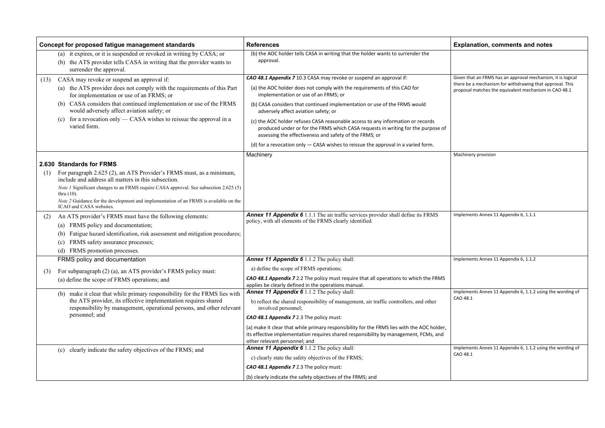mplements Annex 11 Appendix 6, 1.1.2 using the wording of CAO 48.1

Implements Annex 11 Appendix 6, 1.1.2 using the wording of  $AO$  48.1

|      | Concept for proposed fatigue management standards                                                                                                                           | <b>References</b>                                                                                                                                                                                                             | Е        |
|------|-----------------------------------------------------------------------------------------------------------------------------------------------------------------------------|-------------------------------------------------------------------------------------------------------------------------------------------------------------------------------------------------------------------------------|----------|
|      | (a) it expires, or it is suspended or revoked in writing by CASA; or<br>the ATS provider tells CASA in writing that the provider wants to<br>(b)<br>surrender the approval. | (b) the AOC holder tells CASA in writing that the holder wants to surrender the<br>approval.                                                                                                                                  |          |
| (13) | CASA may revoke or suspend an approval if:                                                                                                                                  | CAO 48.1 Appendix 7 10.3 CASA may revoke or suspend an approval if:                                                                                                                                                           | Gi       |
|      | the ATS provider does not comply with the requirements of this Part<br>(a)<br>for implementation or use of an FRMS; or                                                      | (a) the AOC holder does not comply with the requirements of this CAO for<br>implementation or use of an FRMS; or                                                                                                              | th<br>pr |
|      | (b) CASA considers that continued implementation or use of the FRMS<br>would adversely affect aviation safety; or                                                           | (b) CASA considers that continued implementation or use of the FRMS would<br>adversely affect aviation safety; or                                                                                                             |          |
|      | for a revocation only $-$ CASA wishes to reissue the approval in a<br>(c)<br>varied form.                                                                                   | (c) the AOC holder refuses CASA reasonable access to any information or records<br>produced under or for the FRMS which CASA requests in writing for the purpose of<br>assessing the effectiveness and safety of the FRMS; or |          |
|      |                                                                                                                                                                             | (d) for a revocation only $-$ CASA wishes to reissue the approval in a varied form.                                                                                                                                           |          |
|      |                                                                                                                                                                             | Machinery                                                                                                                                                                                                                     | M        |
|      | 2.630 Standards for FRMS                                                                                                                                                    |                                                                                                                                                                                                                               |          |
| (1)  | For paragraph 2.625 (2), an ATS Provider's FRMS must, as a minimum,<br>include and address all matters in this subsection.                                                  |                                                                                                                                                                                                                               |          |
|      | Note 1 Significant changes to an FRMS require CASA approval. See subsection 2.625 (5)<br>thru $(10)$ .                                                                      |                                                                                                                                                                                                                               |          |
|      | Note 2 Guidance for the development and implementation of an FRMS is available on the<br>ICAO and CASA websites.                                                            |                                                                                                                                                                                                                               |          |
| (2)  | An ATS provider's FRMS must have the following elements:<br>FRMS policy and documentation;<br>$\left( a\right)$                                                             | Annex 11 Appendix 6 1.1.1 The air traffic services provider shall define its FRMS<br>policy, with all elements of the FRMS clearly identified.                                                                                | Ιn       |
|      | Fatigue hazard identification, risk assessment and mitigation procedures;<br>(b)                                                                                            |                                                                                                                                                                                                                               |          |
|      | FRMS safety assurance processes;<br>(c)                                                                                                                                     |                                                                                                                                                                                                                               |          |
|      | FRMS promotion processes.<br>(d)                                                                                                                                            |                                                                                                                                                                                                                               |          |
|      | FRMS policy and documentation                                                                                                                                               | <b>Annex 11 Appendix 6</b> 1.1.2 The policy shall:                                                                                                                                                                            | In       |
| (3)  | For subparagraph (2) (a), an ATS provider's FRMS policy must:                                                                                                               | a) define the scope of FRMS operations;                                                                                                                                                                                       |          |
|      | (a) define the scope of FRMS operations; and                                                                                                                                | <b>CAO 48.1 Appendix 7</b> 2.2 The policy must require that all operations to which the FRMS<br>applies be clearly defined in the operations manual.                                                                          |          |
|      | (b) make it clear that while primary responsibility for the FRMS lies with                                                                                                  | <b>Annex 11 Appendix 6</b> 1.1.2 The policy shall:                                                                                                                                                                            | Ιn<br>C/ |
|      | the ATS provider, its effective implementation requires shared<br>responsibility by management, operational persons, and other relevant                                     | b) reflect the shared responsibility of management, air traffic controllers, and other<br>involved personnel;                                                                                                                 |          |
|      | personnel; and                                                                                                                                                              | CAO 48.1 Appendix 7 2.3 The policy must:                                                                                                                                                                                      |          |
|      |                                                                                                                                                                             | (a) make it clear that while primary responsibility for the FRMS lies with the AOC holder,<br>its effective implementation requires shared responsibility by management, FCMs, and<br>other relevant personnel; and           |          |
|      | clearly indicate the safety objectives of the FRMS; and<br>(c)                                                                                                              | Annex 11 Appendix 6 1.1.2 The policy shall:                                                                                                                                                                                   | Ιn       |
|      |                                                                                                                                                                             | c) clearly state the safety objectives of the FRMS;                                                                                                                                                                           | C        |
|      |                                                                                                                                                                             | CAO 48.1 Appendix 7 2.3 The policy must:                                                                                                                                                                                      |          |
|      |                                                                                                                                                                             | (b) clearly indicate the safety objectives of the FRMS; and                                                                                                                                                                   |          |

## **Explanation, comments and notes**

Given that an FRMS has an approval mechanism, it is logical here be a mechanism for withdrawing that approval. This roposal matches the equivalent mechanism in CAO 48.1

Machinery provision

mplements Annex 11 Appendix 6, 1.1.1

Implements Annex 11 Appendix 6, 1.1.2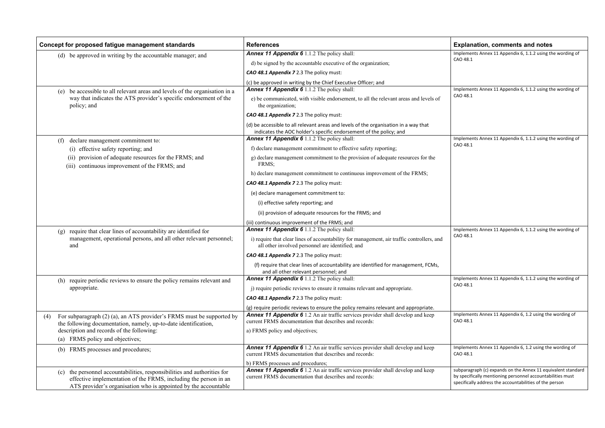mplements Annex 11 Appendix 6, 1.1.2 using the wording of CAO 48.1

mplements Annex 11 Appendix 6, 1.1.2 using the wording of CAO 48.1

mplements Annex 11 Appendix 6, 1.1.2 using the wording of CAO 48.1

mplements Annex 11 Appendix 6, 1.1.2 using the wording of CAO 48.1

mplements Annex 11 Appendix 6, 1.1.2 using the wording of CAO 48.1

mplements Annex 11 Appendix 6, 1.2 using the wording of CAO 48.1

mplements Annex 11 Appendix 6, 1.2 using the wording of CAO 48.1

|     | Concept for proposed fatigue management standards                                                                                                                                                                  | <b>References</b>                                                                                                                                          | E                         |
|-----|--------------------------------------------------------------------------------------------------------------------------------------------------------------------------------------------------------------------|------------------------------------------------------------------------------------------------------------------------------------------------------------|---------------------------|
|     | (d) be approved in writing by the accountable manager; and                                                                                                                                                         | <b>Annex 11 Appendix 6</b> 1.1.2 The policy shall:                                                                                                         | In                        |
|     |                                                                                                                                                                                                                    | d) be signed by the accountable executive of the organization;                                                                                             | C.                        |
|     |                                                                                                                                                                                                                    | CAO 48.1 Appendix 7 2.3 The policy must:                                                                                                                   |                           |
|     |                                                                                                                                                                                                                    | (c) be approved in writing by the Chief Executive Officer; and                                                                                             |                           |
|     | be accessible to all relevant areas and levels of the organisation in a<br>(e)                                                                                                                                     | <b>Annex 11 Appendix 6</b> 1.1.2 The policy shall:                                                                                                         | <u>In</u>                 |
|     | way that indicates the ATS provider's specific endorsement of the<br>policy; and                                                                                                                                   | e) be communicated, with visible endorsement, to all the relevant areas and levels of<br>the organization;                                                 | C,                        |
|     |                                                                                                                                                                                                                    | CAO 48.1 Appendix 7 2.3 The policy must:                                                                                                                   |                           |
|     |                                                                                                                                                                                                                    | (d) be accessible to all relevant areas and levels of the organisation in a way that<br>indicates the AOC holder's specific endorsement of the policy; and |                           |
|     | declare management commitment to:<br>(f)                                                                                                                                                                           | <b>Annex 11 Appendix 6</b> 1.1.2 The policy shall:                                                                                                         | -In                       |
|     | (i) effective safety reporting; and                                                                                                                                                                                | f) declare management commitment to effective safety reporting;                                                                                            | C.                        |
|     | provision of adequate resources for the FRMS; and<br>(11)<br>(iii) continuous improvement of the FRMS; and                                                                                                         | g) declare management commitment to the provision of adequate resources for the<br>FRMS;                                                                   |                           |
|     |                                                                                                                                                                                                                    | h) declare management commitment to continuous improvement of the FRMS;                                                                                    |                           |
|     |                                                                                                                                                                                                                    | CAO 48.1 Appendix 7 2.3 The policy must:                                                                                                                   |                           |
|     |                                                                                                                                                                                                                    | (e) declare management commitment to:                                                                                                                      |                           |
|     |                                                                                                                                                                                                                    | (i) effective safety reporting; and                                                                                                                        |                           |
|     |                                                                                                                                                                                                                    | (ii) provision of adequate resources for the FRMS; and                                                                                                     |                           |
|     |                                                                                                                                                                                                                    | (iii) continuous improvement of the FRMS; and                                                                                                              |                           |
|     | require that clear lines of accountability are identified for<br>(g)                                                                                                                                               | <b>Annex 11 Appendix 6</b> 1.1.2 The policy shall:                                                                                                         | -In                       |
|     | management, operational persons, and all other relevant personnel;<br>and                                                                                                                                          | i) require that clear lines of accountability for management, air traffic controllers, and<br>all other involved personnel are identified; and             | C.                        |
|     |                                                                                                                                                                                                                    | CAO 48.1 Appendix 7 2.3 The policy must:                                                                                                                   |                           |
|     |                                                                                                                                                                                                                    | (f) require that clear lines of accountability are identified for management, FCMs,<br>and all other relevant personnel; and                               |                           |
|     | (h) require periodic reviews to ensure the policy remains relevant and                                                                                                                                             | <b>Annex 11 Appendix 6</b> 1.1.2 The policy shall:                                                                                                         | In                        |
|     | appropriate.                                                                                                                                                                                                       | j) require periodic reviews to ensure it remains relevant and appropriate.                                                                                 | C,                        |
|     |                                                                                                                                                                                                                    | CAO 48.1 Appendix 7 2.3 The policy must:                                                                                                                   |                           |
|     |                                                                                                                                                                                                                    | (g) require periodic reviews to ensure the policy remains relevant and appropriate.                                                                        |                           |
| (4) | For subparagraph (2) (a), an ATS provider's FRMS must be supported by<br>the following documentation, namely, up-to-date identification,                                                                           | <b>Annex 11 Appendix 6</b> 1.2 An air traffic services provider shall develop and keep<br>current FRMS documentation that describes and records:           | In<br>$\mathsf{C}$        |
|     | description and records of the following:                                                                                                                                                                          | a) FRMS policy and objectives;                                                                                                                             |                           |
|     | (a) FRMS policy and objectives;                                                                                                                                                                                    |                                                                                                                                                            |                           |
|     | FRMS processes and procedures;<br>(b)                                                                                                                                                                              | <b>Annex 11 Appendix 6</b> 1.2 An air traffic services provider shall develop and keep<br>current FRMS documentation that describes and records:           | In<br>C,                  |
|     |                                                                                                                                                                                                                    | b) FRMS processes and procedures;                                                                                                                          |                           |
|     | the personnel accountabilities, responsibilities and authorities for<br>(c)<br>effective implementation of the FRMS, including the person in an<br>ATS provider's organisation who is appointed by the accountable | Annex 11 Appendix 6 1.2 An air traffic services provider shall develop and keep<br>current FRMS documentation that describes and records:                  | Sι<br>$\mathsf{b}$<br>.sp |

#### **Explanation, comments and notes**

subparagraph (c) expands on the Annex 11 equivalent standard by specifically mentioning personnel accountabilities must specifically address the accountabilities of the person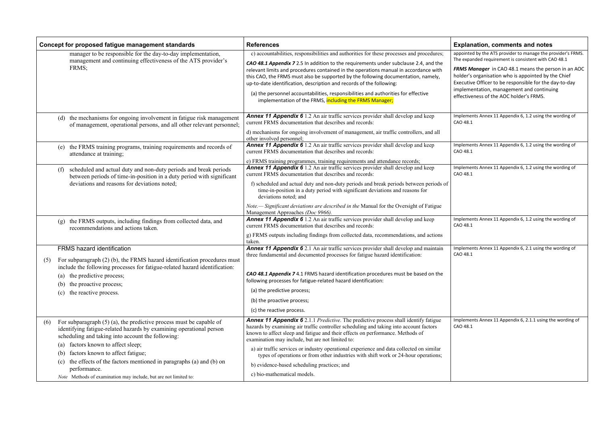*FRMS Manager* in CAO 48.1 means the person in an AOC older's organisation who is appointed by the Chief xecutive Officer to be responsible for the day-to-day mplementation, management and continuing ffectiveness of the AOC holder's FRMS.

nplements Annex 11 Appendix 6, 1.2 using the wording of AO 48.1

nplements Annex 11 Appendix 6, 1.2 using the wording of AO 48.1

nplements Annex 11 Appendix 6, 1.2 using the wording of AO 48.1

nplements Annex 11 Appendix 6, 1.2 using the wording of AO 48.1

nplements Annex 11 Appendix 6, 2.1 using the wording of AO 48.1

nplements Annex 11 Appendix 6, 2.1.1 using the wording of AO 48.1

|     | Concept for proposed fatigue management standards                                                                                                                                                 | <b>References</b>                                                                                                                                                                                                                                                                                                                                                                                                                      | Е                               |
|-----|---------------------------------------------------------------------------------------------------------------------------------------------------------------------------------------------------|----------------------------------------------------------------------------------------------------------------------------------------------------------------------------------------------------------------------------------------------------------------------------------------------------------------------------------------------------------------------------------------------------------------------------------------|---------------------------------|
|     | manager to be responsible for the day-to-day implementation,<br>management and continuing effectiveness of the ATS provider's<br>FRMS:                                                            | c) accountabilities, responsibilities and authorities for these processes and procedures;<br>CAO 48.1 Appendix 7 2.5 In addition to the requirements under subclause 2.4, and the<br>relevant limits and procedures contained in the operations manual in accordance with<br>this CAO, the FRMS must also be supported by the following documentation, namely,<br>up-to-date identification, description and records of the following: | аp<br>Tŀ<br>FI<br>h<br>E)<br>ın |
|     |                                                                                                                                                                                                   | (a) the personnel accountabilities, responsibilities and authorities for effective<br>implementation of the FRMS, including the FRMS Manager;                                                                                                                                                                                                                                                                                          | ef                              |
|     | (d) the mechanisms for ongoing involvement in fatigue risk management<br>of management, operational persons, and all other relevant personnel;                                                    | <b>Annex 11 Appendix 6</b> 1.2 An air traffic services provider shall develop and keep<br>current FRMS documentation that describes and records:<br>d) mechanisms for ongoing involvement of management, air traffic controllers, and all                                                                                                                                                                                              | Ιm<br>C/                        |
|     | the FRMS training programs, training requirements and records of<br>(e)                                                                                                                           | other involved personnel;<br>Annex 11 Appendix 6 1.2 An air traffic services provider shall develop and keep                                                                                                                                                                                                                                                                                                                           | Ιm                              |
|     | attendance at training;                                                                                                                                                                           | current FRMS documentation that describes and records:<br>e) FRMS training programmes, training requirements and attendance records;                                                                                                                                                                                                                                                                                                   | C/                              |
|     | scheduled and actual duty and non-duty periods and break periods<br>(f)<br>between periods of time-in-position in a duty period with significant                                                  | <b>Annex 11 Appendix 6</b> 1.2 An air traffic services provider shall develop and keep<br>current FRMS documentation that describes and records:                                                                                                                                                                                                                                                                                       | Ιm<br>C/                        |
|     | deviations and reasons for deviations noted;                                                                                                                                                      | f) scheduled and actual duty and non-duty periods and break periods between periods of<br>time-in-position in a duty period with significant deviations and reasons for<br>deviations noted; and                                                                                                                                                                                                                                       |                                 |
|     |                                                                                                                                                                                                   | Note.— Significant deviations are described in the Manual for the Oversight of Fatigue<br>Management Approaches (Doc 9966).                                                                                                                                                                                                                                                                                                            |                                 |
|     | the FRMS outputs, including findings from collected data, and<br>(g)<br>recommendations and actions taken.                                                                                        | Annex 11 Appendix 6 1.2 An air traffic services provider shall develop and keep<br>current FRMS documentation that describes and records:                                                                                                                                                                                                                                                                                              | C/                              |
|     |                                                                                                                                                                                                   | g) FRMS outputs including findings from collected data, recommendations, and actions<br>taken.                                                                                                                                                                                                                                                                                                                                         |                                 |
| (5) | <b>FRMS</b> hazard identification<br>For subparagraph (2) (b), the FRMS hazard identification procedures must<br>include the following processes for fatigue-related hazard identification:       | <b>Annex 11 Appendix 6</b> 2.1 An air traffic services provider shall develop and maintain<br>three fundamental and documented processes for fatigue hazard identification:                                                                                                                                                                                                                                                            | $\mathsf{Im}$<br>C/             |
|     | the predictive process;<br>(a)<br>the proactive process;<br>(b)                                                                                                                                   | CAO 48.1 Appendix 7 4.1 FRMS hazard identification procedures must be based on the<br>following processes for fatigue-related hazard identification:                                                                                                                                                                                                                                                                                   |                                 |
|     | the reactive process.<br>(c)                                                                                                                                                                      | (a) the predictive process;                                                                                                                                                                                                                                                                                                                                                                                                            |                                 |
|     |                                                                                                                                                                                                   | (b) the proactive process;                                                                                                                                                                                                                                                                                                                                                                                                             |                                 |
|     |                                                                                                                                                                                                   | (c) the reactive process.                                                                                                                                                                                                                                                                                                                                                                                                              |                                 |
| (6) | For subparagraph $(5)$ (a), the predictive process must be capable of<br>identifying fatigue-related hazards by examining operational person<br>scheduling and taking into account the following: | <b>Annex 11 Appendix 6</b> 2.1.1 <i>Predictive</i> . The predictive process shall identify fatigue<br>hazards by examining air traffic controller scheduling and taking into account factors<br>known to affect sleep and fatigue and their effects on performance. Methods of<br>examination may include, but are not limited to:                                                                                                     | C/                              |
|     | factors known to affect sleep;<br>(a)<br>factors known to affect fatigue;<br>(b)                                                                                                                  | a) air traffic services or industry operational experience and data collected on similar<br>types of operations or from other industries with shift work or 24-hour operations;                                                                                                                                                                                                                                                        |                                 |
|     | the effects of the factors mentioned in paragraphs (a) and (b) on<br>(c)                                                                                                                          | b) evidence-based scheduling practices; and                                                                                                                                                                                                                                                                                                                                                                                            |                                 |
|     | performance.<br>Note Methods of examination may include, but are not limited to:                                                                                                                  | c) bio-mathematical models.                                                                                                                                                                                                                                                                                                                                                                                                            |                                 |

#### **Concept Formally Explanation, comments and notes**

ppointed by the ATS provider to manage the provider's FRMS. he expanded requirement is consistent with CAO 48.1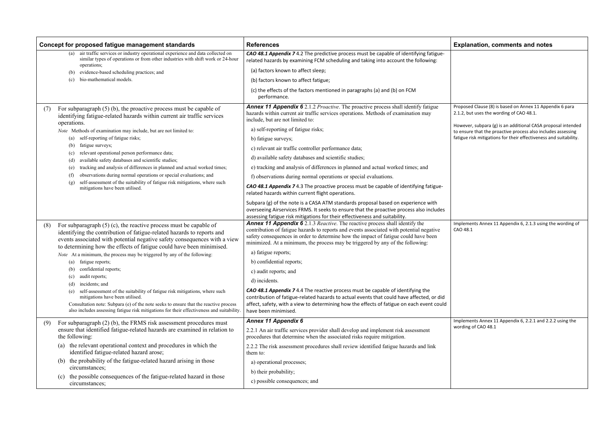Iplements Annex 11 Appendix 6, 2.1.3 using the wording of CAO 48.1

Implements Annex 11 Appendix 6, 2.2.1 and 2.2.2 using the ording of CAO 48.1

|     | Concept for proposed fatigue management standards                                                                                                                                                                                                                                                         | <b>References</b>                                                                                                                                                                                                                                                                                                                                       | E)         |
|-----|-----------------------------------------------------------------------------------------------------------------------------------------------------------------------------------------------------------------------------------------------------------------------------------------------------------|---------------------------------------------------------------------------------------------------------------------------------------------------------------------------------------------------------------------------------------------------------------------------------------------------------------------------------------------------------|------------|
|     | air traffic services or industry operational experience and data collected on<br>(a)<br>similar types of operations or from other industries with shift work or 24-hour<br>operations;                                                                                                                    | <b>CAO 48.1 Appendix 7</b> 4.2 The predictive process must be capable of identifying fatigue-<br>related hazards by examining FCM scheduling and taking into account the following:                                                                                                                                                                     |            |
|     | evidence-based scheduling practices; and<br>(b)                                                                                                                                                                                                                                                           | (a) factors known to affect sleep;                                                                                                                                                                                                                                                                                                                      |            |
|     | bio-mathematical models.<br>(c)                                                                                                                                                                                                                                                                           | (b) factors known to affect fatigue;                                                                                                                                                                                                                                                                                                                    |            |
|     |                                                                                                                                                                                                                                                                                                           | (c) the effects of the factors mentioned in paragraphs (a) and (b) on FCM<br>performance.                                                                                                                                                                                                                                                               |            |
| (7) | For subparagraph $(5)$ (b), the proactive process must be capable of<br>identifying fatigue-related hazards within current air traffic services<br>operations.                                                                                                                                            | <b>Annex 11 Appendix 6</b> 2.1.2 <i>Proactive</i> . The proactive process shall identify fatigue<br>hazards within current air traffic services operations. Methods of examination may<br>include, but are not limited to:                                                                                                                              | Pro<br>2.1 |
|     | Note Methods of examination may include, but are not limited to:                                                                                                                                                                                                                                          | a) self-reporting of fatigue risks;                                                                                                                                                                                                                                                                                                                     | Ho<br>to i |
|     | self-reporting of fatigue risks;<br>(a)                                                                                                                                                                                                                                                                   | b) fatigue surveys;                                                                                                                                                                                                                                                                                                                                     | fat        |
|     | fatigue surveys;<br>(b)                                                                                                                                                                                                                                                                                   | c) relevant air traffic controller performance data;                                                                                                                                                                                                                                                                                                    |            |
|     | relevant operational person performance data;<br>(c)<br>available safety databases and scientific studies;<br>(d)                                                                                                                                                                                         | d) available safety databases and scientific studies;                                                                                                                                                                                                                                                                                                   |            |
|     | tracking and analysis of differences in planned and actual worked times;<br>(e)                                                                                                                                                                                                                           | e) tracking and analysis of differences in planned and actual worked times; and                                                                                                                                                                                                                                                                         |            |
|     | observations during normal operations or special evaluations; and<br>(f)                                                                                                                                                                                                                                  | f) observations during normal operations or special evaluations.                                                                                                                                                                                                                                                                                        |            |
|     | self-assessment of the suitability of fatigue risk mitigations, where such<br>(g)<br>mitigations have been utilised.                                                                                                                                                                                      | <b>CAO 48.1 Appendix 7</b> 4.3 The proactive process must be capable of identifying fatigue-<br>related hazards within current flight operations.                                                                                                                                                                                                       |            |
|     |                                                                                                                                                                                                                                                                                                           | Subpara (g) of the note is a CASA ATM standards proposal based on experience with<br>overseeing Airservices FRMS. It seeks to ensure that the proactive process also includes<br>assessing fatigue risk mitigations for their effectiveness and suitability.                                                                                            |            |
| (8) | For subparagraph $(5)$ (c), the reactive process must be capable of<br>identifying the contribution of fatigue-related hazards to reports and<br>events associated with potential negative safety consequences with a view                                                                                | <b>Annex 11 Appendix 6</b> 2.1.3 Reactive. The reactive process shall identify the<br>contribution of fatigue hazards to reports and events associated with potential negative<br>safety consequences in order to determine how the impact of fatigue could have been<br>minimized. At a minimum, the process may be triggered by any of the following: | Im<br>CA   |
|     | to determining how the effects of fatigue could have been minimised.<br>Note At a minimum, the process may be triggered by any of the following:                                                                                                                                                          | a) fatigue reports;                                                                                                                                                                                                                                                                                                                                     |            |
|     | fatigue reports;<br>(a)                                                                                                                                                                                                                                                                                   | b) confidential reports;                                                                                                                                                                                                                                                                                                                                |            |
|     | confidential reports;<br>(b)                                                                                                                                                                                                                                                                              | c) audit reports; and                                                                                                                                                                                                                                                                                                                                   |            |
|     | audit reports;<br>(c)<br>incidents; and<br>(d)                                                                                                                                                                                                                                                            | d) incidents.                                                                                                                                                                                                                                                                                                                                           |            |
|     | self-assessment of the suitability of fatigue risk mitigations, where such<br>(e)<br>mitigations have been utilised.<br>Consultation note: Subpara (e) of the note seeks to ensure that the reactive process<br>also includes assessing fatigue risk mitigations for their effectiveness and suitability. | CAO 48.1 Appendix 7 4.4 The reactive process must be capable of identifying the<br>contribution of fatigue-related hazards to actual events that could have affected, or did<br>affect, safety, with a view to determining how the effects of fatigue on each event could<br>have been minimised.                                                       |            |
| (9) | For subparagraph $(2)$ (b), the FRMS risk assessment procedures must                                                                                                                                                                                                                                      | Annex 11 Appendix 6                                                                                                                                                                                                                                                                                                                                     | Im         |
|     | ensure that identified fatigue-related hazards are examined in relation to<br>the following:                                                                                                                                                                                                              | 2.2.1 An air traffic services provider shall develop and implement risk assessment<br>procedures that determine when the associated risks require mitigation.                                                                                                                                                                                           | wo         |
|     | the relevant operational context and procedures in which the<br>(a)                                                                                                                                                                                                                                       | 2.2.2 The risk assessment procedures shall review identified fatigue hazards and link                                                                                                                                                                                                                                                                   |            |
|     | identified fatigue-related hazard arose;                                                                                                                                                                                                                                                                  | them to:                                                                                                                                                                                                                                                                                                                                                |            |
|     | the probability of the fatigue-related hazard arising in those<br>(b)<br>circumstances;                                                                                                                                                                                                                   | a) operational processes;                                                                                                                                                                                                                                                                                                                               |            |
|     | the possible consequences of the fatigue-related hazard in those<br>(c)                                                                                                                                                                                                                                   | b) their probability;                                                                                                                                                                                                                                                                                                                                   |            |
|     | circumstances;                                                                                                                                                                                                                                                                                            | c) possible consequences; and                                                                                                                                                                                                                                                                                                                           |            |

### **xplanation, comments and notes**

pposed Clause (8) is based on Annex 11 Appendix 6 para 1.2, but uses the wording of CAO 48.1.

bwever, subpara (g) is an additional CASA proposal intended ensure that the proactive process also includes assessing igue risk mitigations for their effectiveness and suitability.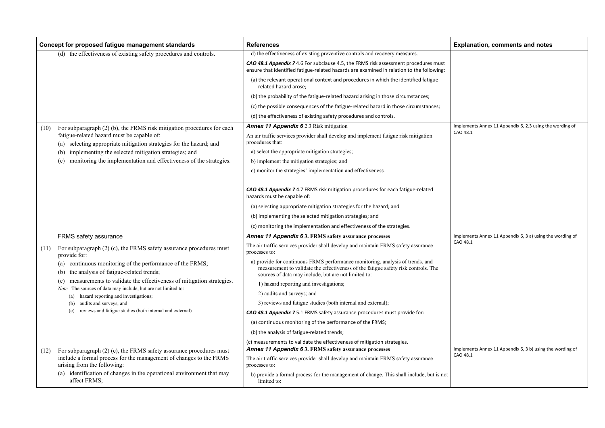## **Concept for proposed fatigue management standards References Explanation, comments and notes**

Iplements Annex 11 Appendix 6, 2.3 using the wording of  $0.48.1$ 

Iplements Annex 11 Appendix 6, 3 a) using the wording of .<br>\O 48.1

Iplements Annex 11 Appendix 6, 3 b) using the wording of CAO 48.1

|      | Concept for proposed fatigue management standards                                                                                            | <b>References</b>                                                                                                                                                                                                            | Ex                     |
|------|----------------------------------------------------------------------------------------------------------------------------------------------|------------------------------------------------------------------------------------------------------------------------------------------------------------------------------------------------------------------------------|------------------------|
|      | (d) the effectiveness of existing safety procedures and controls.                                                                            | d) the effectiveness of existing preventive controls and recovery measures.                                                                                                                                                  |                        |
|      |                                                                                                                                              | CAO 48.1 Appendix 7 4.6 For subclause 4.5, the FRMS risk assessment procedures must<br>ensure that identified fatigue-related hazards are examined in relation to the following:                                             |                        |
|      |                                                                                                                                              | (a) the relevant operational context and procedures in which the identified fatigue-<br>related hazard arose;                                                                                                                |                        |
|      |                                                                                                                                              | (b) the probability of the fatigue-related hazard arising in those circumstances;                                                                                                                                            |                        |
|      |                                                                                                                                              | (c) the possible consequences of the fatigue-related hazard in those circumstances;                                                                                                                                          |                        |
|      |                                                                                                                                              | (d) the effectiveness of existing safety procedures and controls.                                                                                                                                                            |                        |
| (10) | For subparagraph (2) (b), the FRMS risk mitigation procedures for each                                                                       | <b>Annex 11 Appendix 6</b> 2.3 Risk mitigation                                                                                                                                                                               | Imp                    |
|      | fatigue-related hazard must be capable of:<br>selecting appropriate mitigation strategies for the hazard; and<br>(a)                         | An air traffic services provider shall develop and implement fatigue risk mitigation<br>procedures that:                                                                                                                     | CA <sub>(</sub>        |
|      | implementing the selected mitigation strategies; and<br>(b)                                                                                  | a) select the appropriate mitigation strategies;                                                                                                                                                                             |                        |
|      | monitoring the implementation and effectiveness of the strategies.<br>(c)                                                                    | b) implement the mitigation strategies; and                                                                                                                                                                                  |                        |
|      |                                                                                                                                              | c) monitor the strategies' implementation and effectiveness.                                                                                                                                                                 |                        |
|      |                                                                                                                                              | CAO 48.1 Appendix 7 4.7 FRMS risk mitigation procedures for each fatigue-related<br>hazards must be capable of:                                                                                                              |                        |
|      |                                                                                                                                              | (a) selecting appropriate mitigation strategies for the hazard; and                                                                                                                                                          |                        |
|      |                                                                                                                                              | (b) implementing the selected mitigation strategies; and                                                                                                                                                                     |                        |
|      |                                                                                                                                              | (c) monitoring the implementation and effectiveness of the strategies.                                                                                                                                                       |                        |
|      | <b>FRMS</b> safety assurance                                                                                                                 | <b>Annex 11 Appendix 6 3. FRMS safety assurance processes</b>                                                                                                                                                                | Imp                    |
| (11) | For subparagraph $(2)$ (c), the FRMS safety assurance procedures must<br>provide for:                                                        | The air traffic services provider shall develop and maintain FRMS safety assurance<br>processes to:                                                                                                                          | CA <sub>(</sub>        |
|      | (a) continuous monitoring of the performance of the FRMS;<br>the analysis of fatigue-related trends;<br>(b)                                  | a) provide for continuous FRMS performance monitoring, analysis of trends, and<br>measurement to validate the effectiveness of the fatigue safety risk controls. The<br>sources of data may include, but are not limited to: |                        |
|      | measurements to validate the effectiveness of mitigation strategies.<br>(c)<br>Note The sources of data may include, but are not limited to: | 1) hazard reporting and investigations;                                                                                                                                                                                      |                        |
|      | hazard reporting and investigations;<br>(a)                                                                                                  | 2) audits and surveys; and                                                                                                                                                                                                   |                        |
|      | audits and surveys; and<br>(b)                                                                                                               | 3) reviews and fatigue studies (both internal and external);                                                                                                                                                                 |                        |
|      | reviews and fatigue studies (both internal and external).<br>(c)                                                                             | CAO 48.1 Appendix 7 5.1 FRMS safety assurance procedures must provide for:                                                                                                                                                   |                        |
|      |                                                                                                                                              | (a) continuous monitoring of the performance of the FRMS;                                                                                                                                                                    |                        |
|      |                                                                                                                                              | (b) the analysis of fatigue-related trends;                                                                                                                                                                                  |                        |
|      |                                                                                                                                              | (c) measurements to validate the effectiveness of mitigation strategies.                                                                                                                                                     |                        |
| (12) | For subparagraph $(2)$ (c), the FRMS safety assurance procedures must                                                                        | <b>Annex 11 Appendix 6 3. FRMS safety assurance processes</b>                                                                                                                                                                | Imp<br>CA <sub>(</sub> |
|      | include a formal process for the management of changes to the FRMS<br>arising from the following:                                            | The air traffic services provider shall develop and maintain FRMS safety assurance<br>processes to:                                                                                                                          |                        |
|      | identification of changes in the operational environment that may<br>(a)<br>affect FRMS;                                                     | b) provide a formal process for the management of change. This shall include, but is not<br>limited to:                                                                                                                      |                        |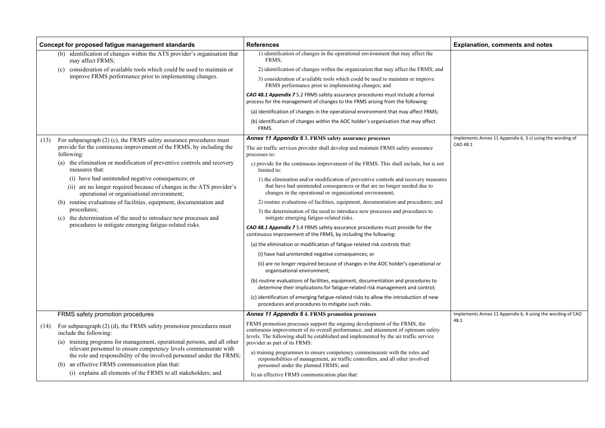## **Concept for proposed fatigue management standards References Explanation, comments and notes**

Implements Annex 11 Appendix 6, 3 c) using the wording of CAO 48.1

Iplements Annex 11 Appendix 6, 4 using the wording of CAO  $\frac{1}{2}$ 

|      | Concept for proposed fatigue management standards                                                                                                                                              | <b>References</b>                                                                                                                                                                                                                                                                          | Ex              |
|------|------------------------------------------------------------------------------------------------------------------------------------------------------------------------------------------------|--------------------------------------------------------------------------------------------------------------------------------------------------------------------------------------------------------------------------------------------------------------------------------------------|-----------------|
|      | identification of changes within the ATS provider's organisation that<br>(b)<br>may affect FRMS;                                                                                               | 1) identification of changes in the operational environment that may affect the<br>FRMS;                                                                                                                                                                                                   |                 |
|      | consideration of available tools which could be used to maintain or<br>(c)                                                                                                                     | 2) identification of changes within the organization that may affect the FRMS; and                                                                                                                                                                                                         |                 |
|      | improve FRMS performance prior to implementing changes.                                                                                                                                        | 3) consideration of available tools which could be used to maintain or improve<br>FRMS performance prior to implementing changes; and                                                                                                                                                      |                 |
|      |                                                                                                                                                                                                | CAO 48.1 Appendix 7 5.2 FRMS safety assurance procedures must include a formal<br>process for the management of changes to the FRMS arising from the following:                                                                                                                            |                 |
|      |                                                                                                                                                                                                | (a) identification of changes in the operational environment that may affect FRMS;                                                                                                                                                                                                         |                 |
|      |                                                                                                                                                                                                | (b) identification of changes within the AOC holder's organisation that may affect<br>FRMS.                                                                                                                                                                                                |                 |
| (13) | For subparagraph (2) (c), the FRMS safety assurance procedures must                                                                                                                            | <b>Annex 11 Appendix 6 3. FRMS safety assurance processes</b>                                                                                                                                                                                                                              | Imp             |
|      | provide for the continuous improvement of the FRMS, by including the<br>following:                                                                                                             | The air traffic services provider shall develop and maintain FRMS safety assurance<br>processes to:                                                                                                                                                                                        | CA <sub>(</sub> |
|      | the elimination or modification of preventive controls and recovery<br>(a)<br>measures that:                                                                                                   | c) provide for the continuous improvement of the FRMS. This shall include, but is not<br>limited to:                                                                                                                                                                                       |                 |
|      | (i) have had unintended negative consequences; or<br>are no longer required because of changes in the ATS provider's<br>(i)<br>operational or organisational environment;                      | 1) the elimination and/or modification of preventive controls and recovery measures<br>that have had unintended consequences or that are no longer needed due to<br>changes in the operational or organizational environment;                                                              |                 |
|      | routine evaluations of facilities, equipment, documentation and                                                                                                                                | 2) routine evaluations of facilities, equipment, documentation and procedures; and                                                                                                                                                                                                         |                 |
|      | procedures;<br>the determination of the need to introduce new processes and<br>(c)                                                                                                             | 3) the determination of the need to introduce new processes and procedures to<br>mitigate emerging fatigue-related risks.                                                                                                                                                                  |                 |
|      | procedures to mitigate emerging fatigue-related risks.                                                                                                                                         | CAO 48.1 Appendix 7 5.4 FRMS safety assurance procedures must provide for the<br>continuous improvement of the FRMS, by including the following:                                                                                                                                           |                 |
|      |                                                                                                                                                                                                | (a) the elimination or modification of fatigue-related risk controls that:                                                                                                                                                                                                                 |                 |
|      |                                                                                                                                                                                                | (i) have had unintended negative consequences; or                                                                                                                                                                                                                                          |                 |
|      |                                                                                                                                                                                                | (ii) are no longer required because of changes in the AOC holder's operational or<br>organisational environment;                                                                                                                                                                           |                 |
|      |                                                                                                                                                                                                | (b) routine evaluations of facilities, equipment, documentation and procedures to<br>determine their implications for fatigue-related risk management and control;                                                                                                                         |                 |
|      |                                                                                                                                                                                                | (c) identification of emerging fatigue-related risks to allow the introduction of new<br>procedures and procedures to mitigate such risks.                                                                                                                                                 |                 |
|      | FRMS safety promotion procedures                                                                                                                                                               | <b>Annex 11 Appendix 6 4. FRMS promotion processes</b>                                                                                                                                                                                                                                     | Imp             |
| (14) | For subparagraph $(2)$ (d), the FRMS safety promotion procedures must<br>include the following:<br>training programs for management, operational persons, and all other<br>(a)                 | FRMS promotion processes support the ongoing development of the FRMS, the<br>continuous improvement of its overall performance, and attainment of optimum safety<br>levels. The following shall be established and implemented by the air traffic service<br>provider as part of its FRMS: | 48.             |
|      | relevant personnel to ensure competency levels commensurate with<br>the role and responsibility of the involved personnel under the FRMS;<br>an effective FRMS communication plan that:<br>(b) | a) training programmes to ensure competency commensurate with the roles and<br>responsibilities of management, air traffic controllers, and all other involved<br>personnel under the planned FRMS; and                                                                                    |                 |
|      | (i) explains all elements of the FRMS to all stakeholders; and                                                                                                                                 | b) an effective FRMS communication plan that:                                                                                                                                                                                                                                              |                 |